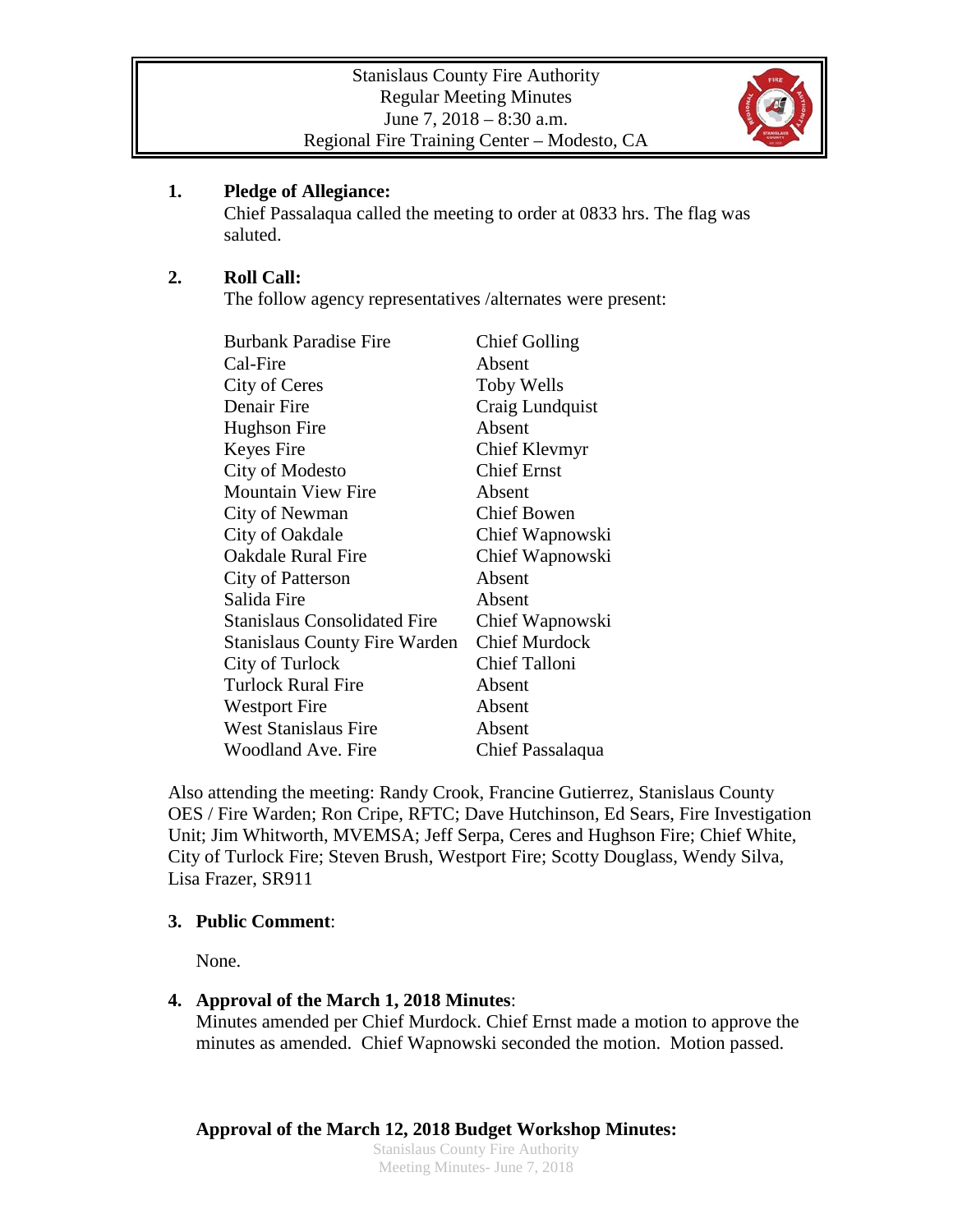

## **1. Pledge of Allegiance:**

Chief Passalaqua called the meeting to order at 0833 hrs. The flag was saluted.

## **2. Roll Call:**

The follow agency representatives /alternates were present:

| <b>Burbank Paradise Fire</b>         | <b>Chief Golling</b> |
|--------------------------------------|----------------------|
| Cal-Fire                             | Absent               |
| City of Ceres                        | Toby Wells           |
| Denair Fire                          | Craig Lundquist      |
| Hughson Fire                         | Absent               |
| Keyes Fire                           | Chief Klevmyr        |
| City of Modesto                      | <b>Chief Ernst</b>   |
| <b>Mountain View Fire</b>            | Absent               |
| City of Newman                       | <b>Chief Bowen</b>   |
| City of Oakdale                      | Chief Wapnowski      |
| <b>Oakdale Rural Fire</b>            | Chief Wapnowski      |
| City of Patterson                    | Absent               |
| Salida Fire                          | Absent               |
| <b>Stanislaus Consolidated Fire</b>  | Chief Wapnowski      |
| <b>Stanislaus County Fire Warden</b> | <b>Chief Murdock</b> |
| City of Turlock                      | Chief Talloni        |
| <b>Turlock Rural Fire</b>            | Absent               |
| <b>Westport Fire</b>                 | Absent               |
| <b>West Stanislaus Fire</b>          | Absent               |
| Woodland Ave. Fire                   | Chief Passalaqua     |

Also attending the meeting: Randy Crook, Francine Gutierrez, Stanislaus County OES / Fire Warden; Ron Cripe, RFTC; Dave Hutchinson, Ed Sears, Fire Investigation Unit; Jim Whitworth, MVEMSA; Jeff Serpa, Ceres and Hughson Fire; Chief White, City of Turlock Fire; Steven Brush, Westport Fire; Scotty Douglass, Wendy Silva, Lisa Frazer, SR911

## **3. Public Comment**:

None.

# **4. Approval of the March 1, 2018 Minutes**:

Minutes amended per Chief Murdock. Chief Ernst made a motion to approve the minutes as amended. Chief Wapnowski seconded the motion. Motion passed.

# **Approval of the March 12, 2018 Budget Workshop Minutes:**

Stanislaus County Fire Authority Meeting Minutes- June 7, 2018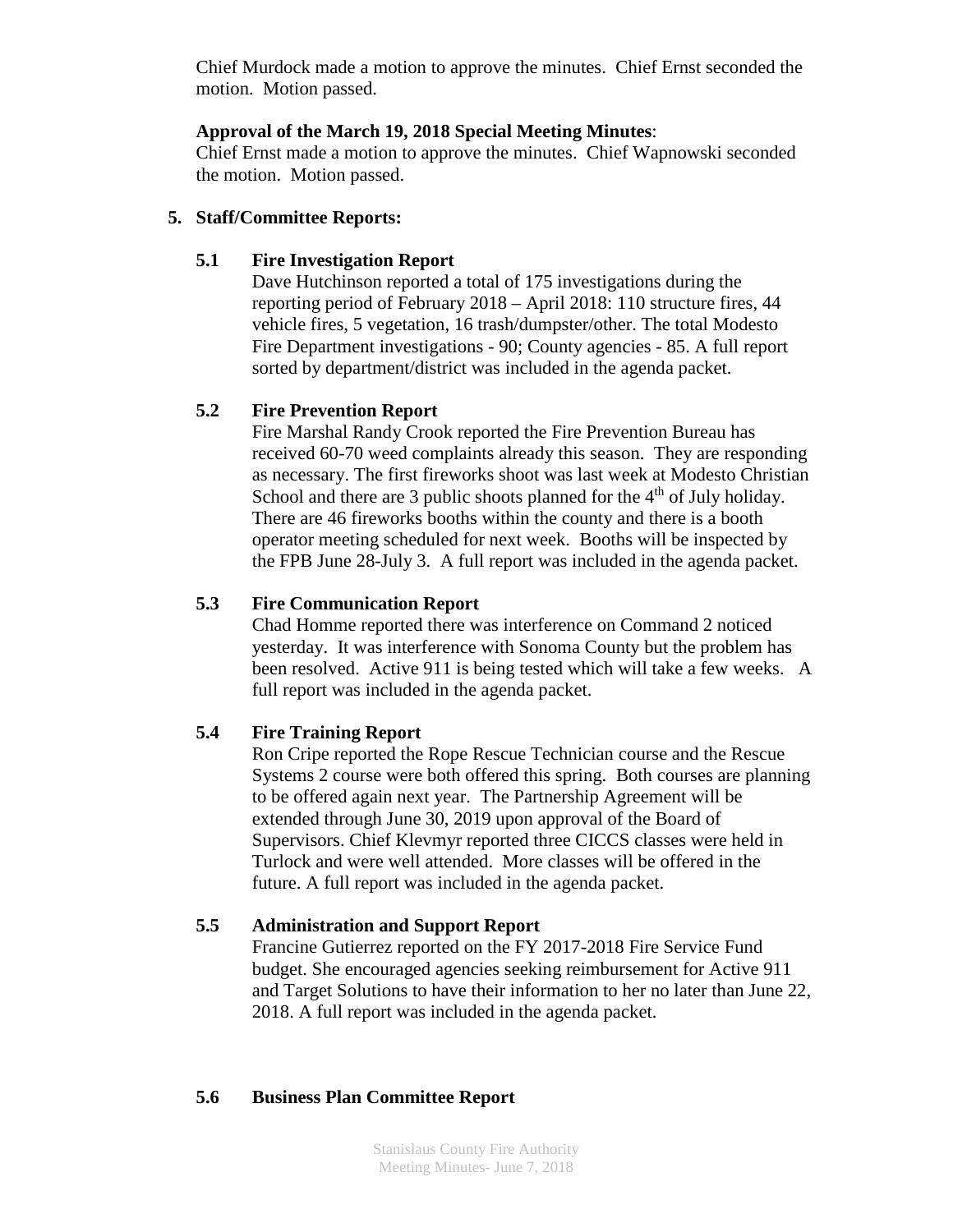Chief Murdock made a motion to approve the minutes. Chief Ernst seconded the motion. Motion passed.

#### **Approval of the March 19, 2018 Special Meeting Minutes**:

Chief Ernst made a motion to approve the minutes. Chief Wapnowski seconded the motion. Motion passed.

#### **5. Staff/Committee Reports:**

#### **5.1 Fire Investigation Report**

Dave Hutchinson reported a total of 175 investigations during the reporting period of February 2018 – April 2018: 110 structure fires, 44 vehicle fires, 5 vegetation, 16 trash/dumpster/other. The total Modesto Fire Department investigations - 90; County agencies - 85. A full report sorted by department/district was included in the agenda packet.

## **5.2 Fire Prevention Report**

Fire Marshal Randy Crook reported the Fire Prevention Bureau has received 60-70 weed complaints already this season. They are responding as necessary. The first fireworks shoot was last week at Modesto Christian School and there are 3 public shoots planned for the  $4<sup>th</sup>$  of July holiday. There are 46 fireworks booths within the county and there is a booth operator meeting scheduled for next week. Booths will be inspected by the FPB June 28-July 3. A full report was included in the agenda packet.

#### **5.3 Fire Communication Report**

Chad Homme reported there was interference on Command 2 noticed yesterday. It was interference with Sonoma County but the problem has been resolved. Active 911 is being tested which will take a few weeks. A full report was included in the agenda packet.

## **5.4 Fire Training Report**

Ron Cripe reported the Rope Rescue Technician course and the Rescue Systems 2 course were both offered this spring. Both courses are planning to be offered again next year. The Partnership Agreement will be extended through June 30, 2019 upon approval of the Board of Supervisors. Chief Klevmyr reported three CICCS classes were held in Turlock and were well attended. More classes will be offered in the future. A full report was included in the agenda packet.

#### **5.5 Administration and Support Report**

Francine Gutierrez reported on the FY 2017-2018 Fire Service Fund budget. She encouraged agencies seeking reimbursement for Active 911 and Target Solutions to have their information to her no later than June 22, 2018. A full report was included in the agenda packet.

#### **5.6 Business Plan Committee Report**